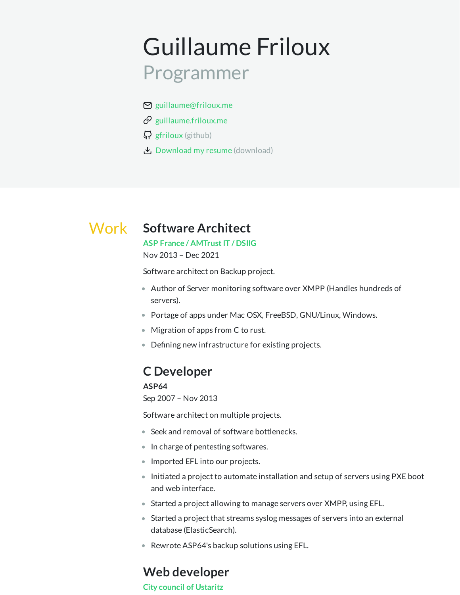# Guillaume Friloux Programmer

- $\boxtimes$  [guillaume@friloux.me](mailto:guillaume@friloux.me)
- $\mathcal{O}$  [guillaume.friloux.me](https://guillaume.friloux.me/)
- $\mathcal{G}$  [gfriloux](https://github.com/gfriloux) (github)
- [Download](https://gfriloux.github.io/resume/gfriloux.resume.pdf) my resume (download)

## Work **Software Architect**

**ASP France / [AMTrustIT](https://www.amtrust.fr/) / DSIIG** Nov 2013 – Dec 2021

Software architect on Backup project.

- Author of Server monitoring software over XMPP (Handles hundreds of servers).
- Portage of apps under Mac OSX, FreeBSD, GNU/Linux, Windows.
- Migration of apps from C to rust.
- $\bullet$  Defining new infrastructure for existing projects.

## **C Developer**

### **ASP64**

Sep 2007 – Nov 2013

Software architect on multiple projects.

- Seek and removal of software bottlenecks.
- In charge of pentesting softwares.
- Imported EFL into our projects.
- Initiated a project to automate installation and setup of servers using PXE boot and web interface.
- Started a project allowing to manage servers over XMPP, using EFL.
- Started a project that streams syslog messages of servers into an external database (ElasticSearch).
- Rewrote ASP64's backup solutions using EFL.

### **Web developer**

**City council of [Ustaritz](http://www.ustaritz.fr/)**